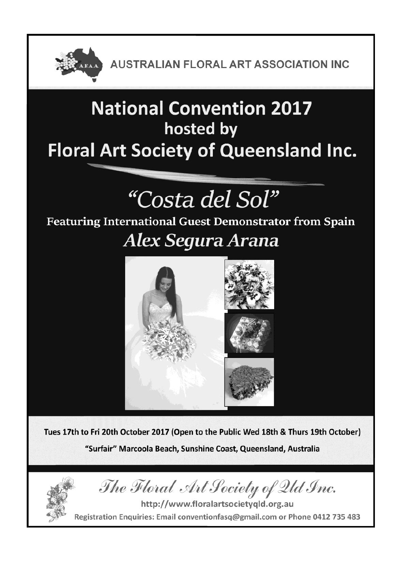

# **National Convention 2017** hosted by **Floral Art Society of Queensland Inc.**

# "Costa del Sol"

## Featuring International Guest Demonstrator from Spain

# Alex Segura Arana



Tues 17th to Fri 20th October 2017 (Open to the Public Wed 18th & Thurs 19th October) "Surfair" Marcoola Beach, Sunshine Coast, Queensland, Australia



http://www.floralartsocietyqld.org.au Registration Enquiries: Email conventionfasq@gmail.com or Phone 0412 735 483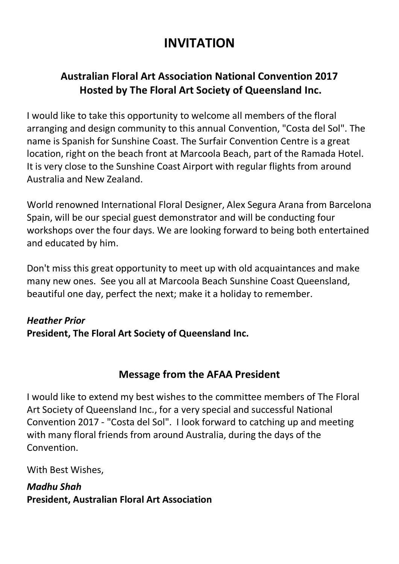### **INVITATION**

### **Australian Floral Art Association National Convention 2017 Hosted by The Floral Art Society of Queensland Inc.**

I would like to take this opportunity to welcome all members of the floral arranging and design community to this annual Convention, "Costa del Sol". The name is Spanish for Sunshine Coast. The Surfair Convention Centre is a great location, right on the beach front at Marcoola Beach, part of the Ramada Hotel. It is very close to the Sunshine Coast Airport with regular flights from around Australia and New Zealand.

World renowned International Floral Designer, Alex Segura Arana from Barcelona Spain, will be our special guest demonstrator and will be conducting four workshops over the four days. We are looking forward to being both entertained and educated by him.

Don't miss this great opportunity to meet up with old acquaintances and make many new ones. See you all at Marcoola Beach Sunshine Coast Queensland, beautiful one day, perfect the next; make it a holiday to remember.

### *Heather Prior* **President, The Floral Art Society of Queensland Inc.**

### **Message from the AFAA President**

I would like to extend my best wishes to the committee members of The Floral Art Society of Queensland Inc., for a very special and successful National Convention 2017 - "Costa del Sol". I look forward to catching up and meeting with many floral friends from around Australia, during the days of the **Convention** 

With Best Wishes,

*Madhu Shah* **President, Australian Floral Art Association**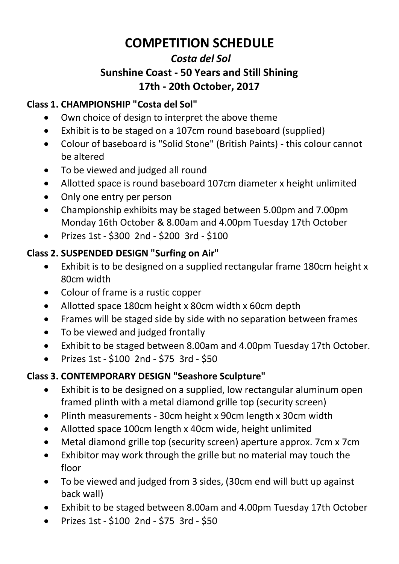### **COMPETITION SCHEDULE**

### *Costa del Sol*  **Sunshine Coast - 50 Years and Still Shining 17th - 20th October, 2017**

#### **Class 1. CHAMPIONSHIP "Costa del Sol"**

- Own choice of design to interpret the above theme
- Exhibit is to be staged on a 107cm round baseboard (supplied)
- Colour of baseboard is "Solid Stone" (British Paints) this colour cannot be altered
- To be viewed and judged all round
- Allotted space is round baseboard 107cm diameter x height unlimited
- Only one entry per person
- Championship exhibits may be staged between 5.00pm and 7.00pm Monday 16th October & 8.00am and 4.00pm Tuesday 17th October
- Prizes 1st \$300 2nd \$200 3rd \$100

#### **Class 2. SUSPENDED DESIGN "Surfing on Air"**

- Exhibit is to be designed on a supplied rectangular frame 180cm height x 80cm width
- Colour of frame is a rustic copper
- Allotted space 180cm height x 80cm width x 60cm depth
- Frames will be staged side by side with no separation between frames
- To be viewed and judged frontally
- Exhibit to be staged between 8.00am and 4.00pm Tuesday 17th October.
- Prizes 1st \$100 2nd \$75 3rd \$50

### **Class 3. CONTEMPORARY DESIGN "Seashore Sculpture"**

- Exhibit is to be designed on a supplied, low rectangular aluminum open framed plinth with a metal diamond grille top (security screen)
- Plinth measurements 30cm height x 90cm length x 30cm width
- Allotted space 100cm length x 40cm wide, height unlimited
- Metal diamond grille top (security screen) aperture approx. 7cm x 7cm
- Exhibitor may work through the grille but no material may touch the floor
- To be viewed and judged from 3 sides, (30cm end will butt up against back wall)
- Exhibit to be staged between 8.00am and 4.00pm Tuesday 17th October
- Prizes 1st \$100 2nd \$75 3rd \$50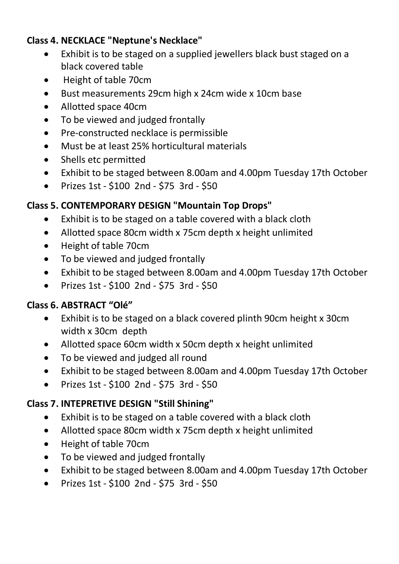#### **Class 4. NECKLACE "Neptune's Necklace"**

- Exhibit is to be staged on a supplied jewellers black bust staged on a black covered table
- Height of table 70cm
- Bust measurements 29cm high x 24cm wide x 10cm base
- Allotted space 40cm
- To be viewed and judged frontally
- Pre-constructed necklace is permissible
- Must be at least 25% horticultural materials
- Shells etc permitted
- Exhibit to be staged between 8.00am and 4.00pm Tuesday 17th October
- Prizes 1st \$100 2nd \$75 3rd \$50

### **Class 5. CONTEMPORARY DESIGN "Mountain Top Drops"**

- Exhibit is to be staged on a table covered with a black cloth
- Allotted space 80cm width x 75cm depth x height unlimited
- Height of table 70cm
- To be viewed and judged frontally
- Exhibit to be staged between 8.00am and 4.00pm Tuesday 17th October
- Prizes 1st \$100 2nd \$75 3rd \$50

### **Class 6. ABSTRACT "Olé"**

- Exhibit is to be staged on a black covered plinth 90cm height x 30cm width x 30cm depth
- Allotted space 60cm width x 50cm depth x height unlimited
- To be viewed and judged all round
- Exhibit to be staged between 8.00am and 4.00pm Tuesday 17th October
- Prizes 1st \$100 2nd \$75 3rd \$50

### **Class 7. INTEPRETIVE DESIGN "Still Shining"**

- Exhibit is to be staged on a table covered with a black cloth
- Allotted space 80cm width x 75cm depth x height unlimited
- Height of table 70cm
- To be viewed and judged frontally
- Exhibit to be staged between 8.00am and 4.00pm Tuesday 17th October
- Prizes 1st \$100 2nd \$75 3rd \$50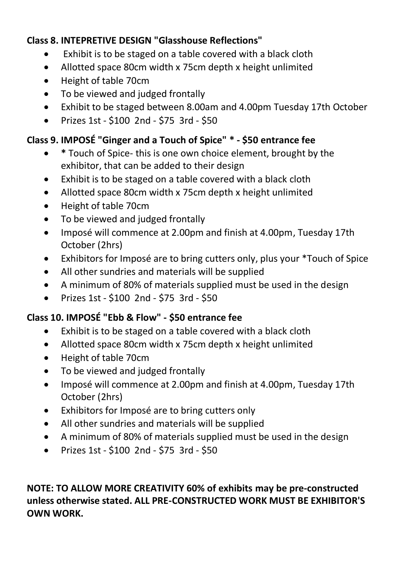#### **Class 8. INTEPRETIVE DESIGN "Glasshouse Reflections"**

- Exhibit is to be staged on a table covered with a black cloth
- Allotted space 80cm width x 75cm depth x height unlimited
- Height of table 70cm
- To be viewed and judged frontally
- Exhibit to be staged between 8.00am and 4.00pm Tuesday 17th October
- Prizes 1st \$100 2nd \$75 3rd \$50

### **Class 9. IMPOSÉ "Ginger and a Touch of Spice" \* - \$50 entrance fee**

- **\*** Touch of Spice- this is one own choice element, brought by the exhibitor, that can be added to their design
- Exhibit is to be staged on a table covered with a black cloth
- Allotted space 80cm width x 75cm depth x height unlimited
- Height of table 70cm
- To be viewed and judged frontally
- Imposé will commence at 2.00pm and finish at 4.00pm, Tuesday 17th October (2hrs)
- Exhibitors for Imposé are to bring cutters only, plus your \*Touch of Spice
- All other sundries and materials will be supplied
- A minimum of 80% of materials supplied must be used in the design
- Prizes 1st \$100 2nd \$75 3rd \$50

#### **Class 10. IMPOSÉ "Ebb & Flow" - \$50 entrance fee**

- Exhibit is to be staged on a table covered with a black cloth
- Allotted space 80cm width x 75cm depth x height unlimited
- Height of table 70cm
- To be viewed and judged frontally
- Imposé will commence at 2.00pm and finish at 4.00pm, Tuesday 17th October (2hrs)
- Exhibitors for Imposé are to bring cutters only
- All other sundries and materials will be supplied
- A minimum of 80% of materials supplied must be used in the design
- Prizes 1st \$100 2nd \$75 3rd \$50

### **NOTE: TO ALLOW MORE CREATIVITY 60% of exhibits may be pre-constructed unless otherwise stated. ALL PRE-CONSTRUCTED WORK MUST BE EXHIBITOR'S OWN WORK.**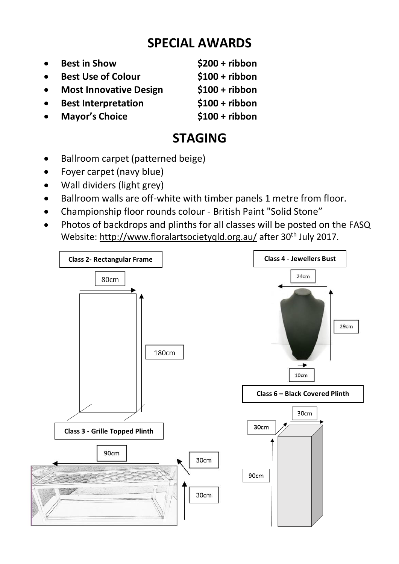### **SPECIAL AWARDS**

- **Best in Show \$200 + ribbon Best Use of Colour** \$100 + ribbon **Most Innovative Design \$100 + ribbon**
- **Best Interpretation \$100 + ribbon**
- **Mayor's Choice \$100 + ribbon**

### **STAGING**

- Ballroom carpet (patterned beige)
- Foyer carpet (navy blue)
- Wall dividers (light grey)
- Ballroom walls are off-white with timber panels 1 metre from floor.
- Championship floor rounds colour British Paint "Solid Stone"
- Photos of backdrops and plinths for all classes will be posted on the FASQ Website:<http://www.floralartsocietyqld.org.au/> after 30<sup>th</sup> July 2017.

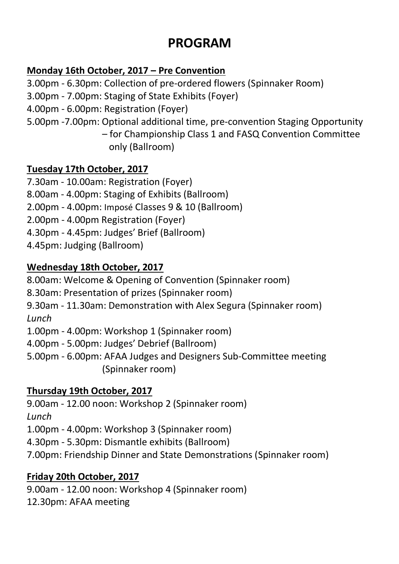### **PROGRAM**

### **Monday 16th October, 2017 – Pre Convention**

3.00pm - 6.30pm: Collection of pre-ordered flowers (Spinnaker Room)

- 3.00pm 7.00pm: Staging of State Exhibits (Foyer)
- 4.00pm 6.00pm: Registration (Foyer)
- 5.00pm -7.00pm: Optional additional time, pre-convention Staging Opportunity

– for Championship Class 1 and FASQ Convention Committee only (Ballroom)

### **Tuesday 17th October, 2017**

7.30am - 10.00am: Registration (Foyer)

- 8.00am 4.00pm: Staging of Exhibits (Ballroom)
- 2.00pm 4.00pm: Imposé Classes 9 & 10 (Ballroom)
- 2.00pm 4.00pm Registration (Foyer)
- 4.30pm 4.45pm: Judges' Brief (Ballroom)
- 4.45pm: Judging (Ballroom)

### **Wednesday 18th October, 2017**

8.00am: Welcome & Opening of Convention (Spinnaker room)

8.30am: Presentation of prizes (Spinnaker room)

9.30am - 11.30am: Demonstration with Alex Segura (Spinnaker room) *Lunch*

1.00pm - 4.00pm: Workshop 1 (Spinnaker room)

- 4.00pm 5.00pm: Judges' Debrief (Ballroom)
- 5.00pm 6.00pm: AFAA Judges and Designers Sub-Committee meeting (Spinnaker room)

### **Thursday 19th October, 2017**

9.00am - 12.00 noon: Workshop 2 (Spinnaker room) *Lunch*

1.00pm - 4.00pm: Workshop 3 (Spinnaker room)

- 4.30pm 5.30pm: Dismantle exhibits (Ballroom)
- 7.00pm: Friendship Dinner and State Demonstrations (Spinnaker room)

### **Friday 20th October, 2017**

9.00am - 12.00 noon: Workshop 4 (Spinnaker room) 12.30pm: AFAA meeting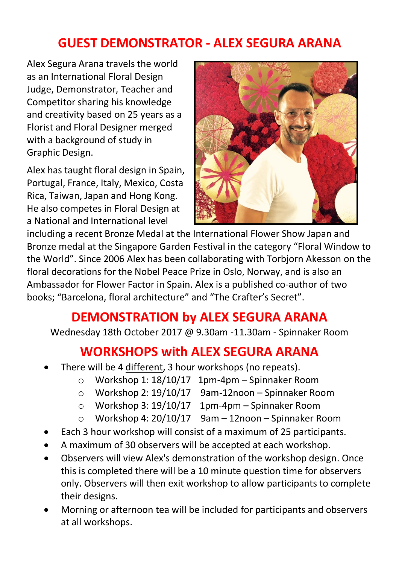### **GUEST DEMONSTRATOR - ALEX SEGURA ARANA**

Alex Segura Arana travels the world as an International Floral Design Judge, Demonstrator, Teacher and Competitor sharing his knowledge and creativity based on 25 years as a Florist and Floral Designer merged with a background of study in Graphic Design.

Alex has taught floral design in Spain, Portugal, France, Italy, Mexico, Costa Rica, Taiwan, Japan and Hong Kong. He also competes in Floral Design at a National and International level



including a recent Bronze Medal at the International Flower Show Japan and Bronze medal at the Singapore Garden Festival in the category "Floral Window to the World". Since 2006 Alex has been collaborating with Torbjorn Akesson on the floral decorations for the Nobel Peace Prize in Oslo, Norway, and is also an Ambassador for Flower Factor in Spain. Alex is a published co-author of two books; "Barcelona, floral architecture" and "The Crafter's Secret".

### **DEMONSTRATION by ALEX SEGURA ARANA**

Wednesday 18th October 2017 @ 9.30am -11.30am - Spinnaker Room

### **WORKSHOPS with ALEX SEGURA ARANA**

- There will be 4 different, 3 hour workshops (no repeats).
	- o Workshop 1: 18/10/17 1pm-4pm Spinnaker Room
	- o Workshop 2: 19/10/17 9am-12noon Spinnaker Room
	- o Workshop 3: 19/10/17 1pm-4pm Spinnaker Room
	- o Workshop 4: 20/10/17 9am 12noon Spinnaker Room
- Each 3 hour workshop will consist of a maximum of 25 participants.
- A maximum of 30 observers will be accepted at each workshop.
- Observers will view Alex's demonstration of the workshop design. Once this is completed there will be a 10 minute question time for observers only. Observers will then exit workshop to allow participants to complete their designs.
- Morning or afternoon tea will be included for participants and observers at all workshops.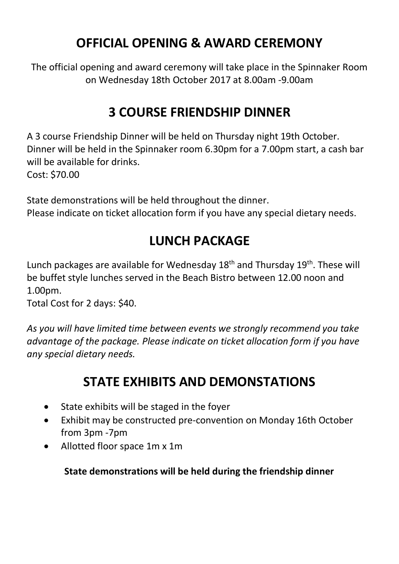### **OFFICIAL OPENING & AWARD CEREMONY**

The official opening and award ceremony will take place in the Spinnaker Room on Wednesday 18th October 2017 at 8.00am -9.00am

### **3 COURSE FRIENDSHIP DINNER**

A 3 course Friendship Dinner will be held on Thursday night 19th October. Dinner will be held in the Spinnaker room 6.30pm for a 7.00pm start, a cash bar will be available for drinks. Cost: \$70.00

State demonstrations will be held throughout the dinner. Please indicate on ticket allocation form if you have any special dietary needs.

### **LUNCH PACKAGE**

Lunch packages are available for Wednesday 18<sup>th</sup> and Thursday 19<sup>th</sup>. These will be buffet style lunches served in the Beach Bistro between 12.00 noon and 1.00pm.

Total Cost for 2 days: \$40.

*As you will have limited time between events we strongly recommend you take advantage of the package. Please indicate on ticket allocation form if you have any special dietary needs.*

### **STATE EXHIBITS AND DEMONSTATIONS**

- State exhibits will be staged in the foyer
- Exhibit may be constructed pre-convention on Monday 16th October from 3pm -7pm
- Allotted floor space 1m x 1m

### **State demonstrations will be held during the friendship dinner**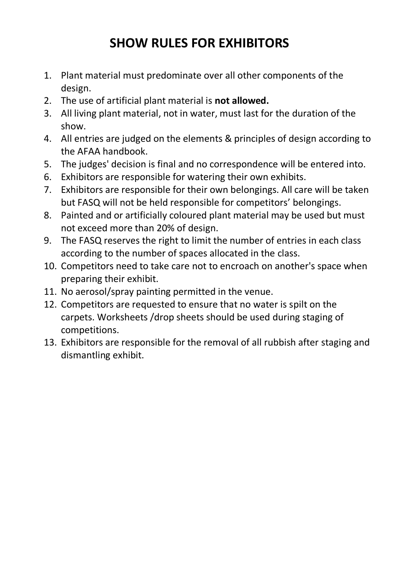### **SHOW RULES FOR EXHIBITORS**

- 1. Plant material must predominate over all other components of the design.
- 2. The use of artificial plant material is **not allowed.**
- 3. All living plant material, not in water, must last for the duration of the show.
- 4. All entries are judged on the elements & principles of design according to the AFAA handbook.
- 5. The judges' decision is final and no correspondence will be entered into.
- 6. Exhibitors are responsible for watering their own exhibits.
- 7. Exhibitors are responsible for their own belongings. All care will be taken but FASQ will not be held responsible for competitors' belongings.
- 8. Painted and or artificially coloured plant material may be used but must not exceed more than 20% of design.
- 9. The FASQ reserves the right to limit the number of entries in each class according to the number of spaces allocated in the class.
- 10. Competitors need to take care not to encroach on another's space when preparing their exhibit.
- 11. No aerosol/spray painting permitted in the venue.
- 12. Competitors are requested to ensure that no water is spilt on the carpets. Worksheets /drop sheets should be used during staging of competitions.
- 13. Exhibitors are responsible for the removal of all rubbish after staging and dismantling exhibit.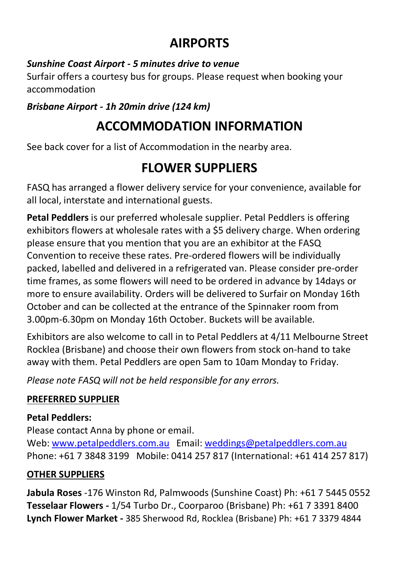### **AIRPORTS**

#### *Sunshine Coast Airport - 5 minutes drive to venue*

Surfair offers a courtesy bus for groups. Please request when booking your accommodation

### *Brisbane Airport - 1h 20min drive (124 km)*

### **ACCOMMODATION INFORMATION**

See back cover for a list of Accommodation in the nearby area.

### **FLOWER SUPPLIERS**

FASQ has arranged a flower delivery service for your convenience, available for all local, interstate and international guests.

**Petal Peddlers** is our preferred wholesale supplier. Petal Peddlers is offering exhibitors flowers at wholesale rates with a \$5 delivery charge. When ordering please ensure that you mention that you are an exhibitor at the FASQ Convention to receive these rates. Pre-ordered flowers will be individually packed, labelled and delivered in a refrigerated van. Please consider pre-order time frames, as some flowers will need to be ordered in advance by 14days or more to ensure availability. Orders will be delivered to Surfair on Monday 16th October and can be collected at the entrance of the Spinnaker room from 3.00pm-6.30pm on Monday 16th October. Buckets will be available.

Exhibitors are also welcome to call in to Petal Peddlers at 4/11 Melbourne Street Rocklea (Brisbane) and choose their own flowers from stock on-hand to take away with them. Petal Peddlers are open 5am to 10am Monday to Friday.

*Please note FASQ will not be held responsible for any errors.* 

### **PREFERRED SUPPLIER**

### **Petal Peddlers:**

Please contact Anna by phone or email. Web:<www.petalpeddlers.com.au>Email:<weddings@petalpeddlers.com.au> Phone: +61 7 3848 3199 Mobile: 0414 257 817 (International: +61 414 257 817)

### **OTHER SUPPLIERS**

**Jabula Roses** -176 Winston Rd, Palmwoods (Sunshine Coast) Ph: +61 7 5445 0552 **Tesselaar Flowers -** 1/54 Turbo Dr., Coorparoo (Brisbane) Ph: +61 7 3391 8400 **Lynch Flower Market -** 385 Sherwood Rd, Rocklea (Brisbane) Ph: +61 7 3379 4844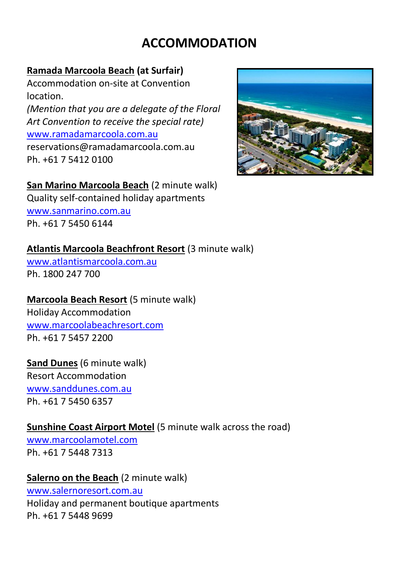### **ACCOMMODATION**

#### **Ramada Marcoola Beach (at Surfair)**

Accommodation on-site at Convention location. *(Mention that you are a delegate of the Floral Art Convention to receive the special rate)* [www.ramadamarcoola.com.au](../../../../../AppData/Local/Microsoft/Windows/Temporary%20Internet%20Files/Content.Outlook/VKHE5FQB/www.ramadamarcoola.com.au) reservations@ramadamarcoola.com.au Ph. +61 7 5412 0100



#### **San Marino Marcoola Beach** (2 minute walk)

Quality self-contained holiday apartments [www.sanmarino.com.au](../../../../../AppData/Local/Microsoft/Windows/Temporary%20Internet%20Files/Content.Outlook/VKHE5FQB/www.sanmarino.com.au) Ph. +61 7 5450 6144

### **Atlantis Marcoola Beachfront Resort** (3 minute walk)

[www.atlantismarcoola.com.au](../../../../../AppData/Local/Microsoft/Windows/Temporary%20Internet%20Files/Content.Outlook/VKHE5FQB/www.atlantismarcoola.com.au) Ph. 1800 247 700

### **Marcoola Beach Resort** (5 minute walk)

Holiday Accommodation [www.marcoolabeachresort.com](../../../../../AppData/Local/Microsoft/Windows/Temporary%20Internet%20Files/Content.Outlook/VKHE5FQB/www.marcoolabeachresort.com) Ph. +61 7 5457 2200

**Sand Dunes** (6 minute walk) Resort Accommodation [www.sanddunes.com.au](../../../../../AppData/Local/Microsoft/Windows/Temporary%20Internet%20Files/Content.Outlook/VKHE5FQB/www.sanddunes.com.au) Ph. +61 7 5450 6357

### **Sunshine Coast Airport Motel** (5 minute walk across the road)

[www.marcoolamotel.com](../../../../../AppData/Local/Microsoft/Windows/Temporary%20Internet%20Files/Content.Outlook/VKHE5FQB/www.marcoolamotel.com) Ph. +61 7 5448 7313

#### **Salerno on the Beach** (2 minute walk)

[www.salernoresort.com.au](../../../../../AppData/Local/Microsoft/Windows/Temporary%20Internet%20Files/Content.Outlook/VKHE5FQB/www.salernoresort.com.au) Holiday and permanent boutique apartments Ph. +61 7 5448 9699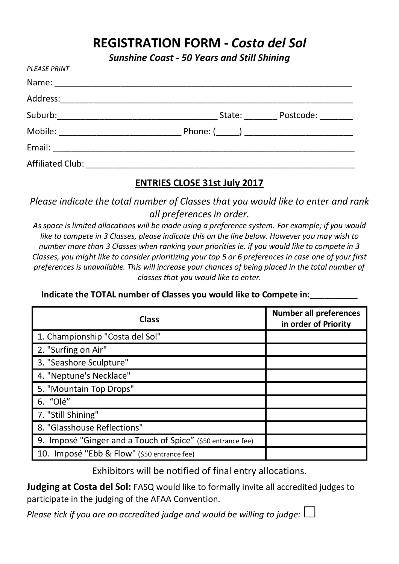### **REGISTRATION FORM -** *Costa del Sol*

*Sunshine Coast - 50 Years and Still Shining*

| PLEASE PRINT |                  |
|--------------|------------------|
|              |                  |
|              |                  |
|              | State: Postcode: |
|              |                  |
|              |                  |
|              |                  |

#### **ENTRIES CLOSE 31st July 2017**

*Please indicate the total number of Classes that you would like to enter and rank all preferences in order.* 

*As space is limited allocations will be made using a preference system. For example; if you would like to compete in 3 Classes, please indicate this on the line below. However you may wish to number more than 3 Classes when ranking your priorities ie. if you would like to compete in 3 Classes, you might like to consider prioritizing your top 5 or 6 preferences in case one of your first preferences is unavailable. This will increase your chances of being placed in the total number of classes that you would like to enter.*

| Class                                                       | <b>Number all preferences</b><br>in order of Priority |  |
|-------------------------------------------------------------|-------------------------------------------------------|--|
| 1. Championship "Costa del Sol"                             |                                                       |  |
| 2. "Surfing on Air"                                         |                                                       |  |
| 3. "Seashore Sculpture"                                     |                                                       |  |
| 4. "Neptune's Necklace"                                     |                                                       |  |
| 5. "Mountain Top Drops"                                     |                                                       |  |
| 6. "Olé"                                                    |                                                       |  |
| 7. "Still Shining"                                          |                                                       |  |
| 8. "Glasshouse Reflections"                                 |                                                       |  |
| 9. Imposé "Ginger and a Touch of Spice" (\$50 entrance fee) |                                                       |  |
| 10. Imposé "Ebb & Flow" (\$50 entrance fee)                 |                                                       |  |

**Indicate the TOTAL number of Classes you would like to Compete in:\_\_\_\_\_\_\_\_\_\_**

Exhibitors will be notified of final entry allocations.

**Judging at Costa del Sol:** FASQ would like to formally invite all accredited judges to participate in the judging of the AFAA Convention.

*Please tick if you are an accredited judge and would be willing to judge:*